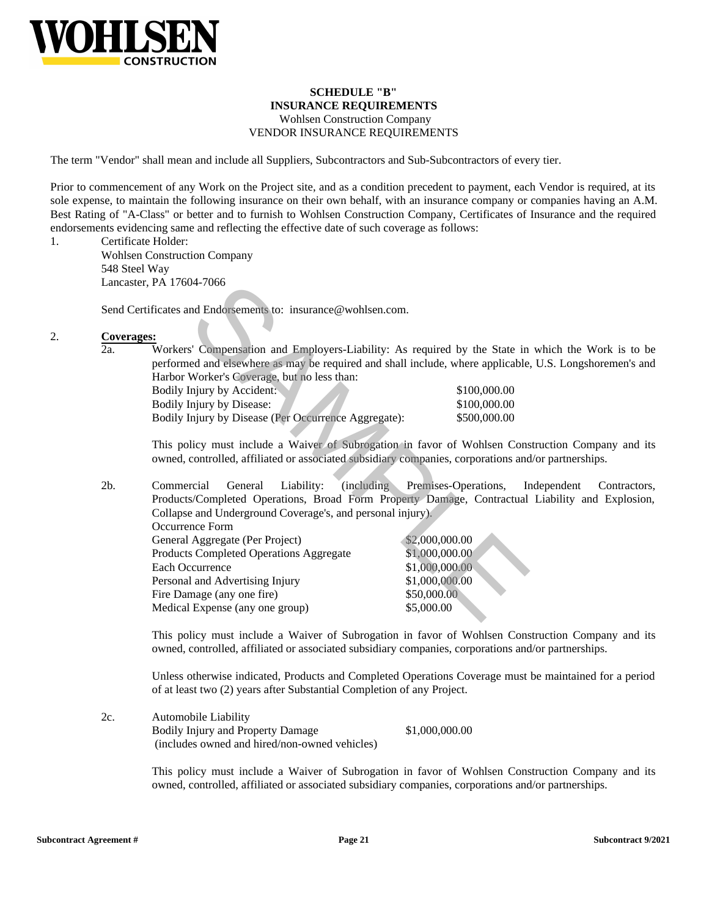

# **SCHEDULE "B" INSURANCE REQUIREMENTS**

## Wohlsen Construction Company VENDOR INSURANCE REQUIREMENTS

The term "Vendor" shall mean and include all Suppliers, Subcontractors and Sub-Subcontractors of every tier.

Prior to commencement of any Work on the Project site, and as a condition precedent to payment, each Vendor is required, at its sole expense, to maintain the following insurance on their own behalf, with an insurance company or companies having an A.M. Best Rating of "A-Class" or better and to furnish to Wohlsen Construction Company, Certificates of Insurance and the required endorsements evidencing same and reflecting the effective date of such coverage as follows:

1. Certificate Holder:

Wohlsen Construction Company 548 Steel Way Lancaster, PA 17604-7066

Send Certificates and Endorsements to: insurance@wohlsen.com.

#### 2. **Coverages:**

2a. Workers' Compensation and Employers-Liability: As required by the State in which the Work is to be performed and elsewhere as may be required and shall include, where applicable, U.S. Longshoremen's and Harbor Worker's Coverage, but no less than:

| Bodily Injury by Accident:                           | \$100,000.00 |
|------------------------------------------------------|--------------|
| Bodily Injury by Disease:                            | \$100,000.00 |
| Bodily Injury by Disease (Per Occurrence Aggregate): | \$500,000.00 |

This policy must include a Waiver of Subrogation in favor of Wohlsen Construction Company and its owned, controlled, affiliated or associated subsidiary companies, corporations and/or partnerships.

2b. Commercial General Liability: (including Premises-Operations, Independent Contractors, Products/Completed Operations, Broad Form Property Damage, Contractual Liability and Explosion, Collapse and Underground Coverage's, and personal injury). Occurrence Form General Aggregate (Per Project) \$2,000,000.00 17066<br>
and Endorsements to: insurance@wohlsen.com.<br>
Somewheater as may be required intyically: As required by the State in<br>
ed and elsewhere as may be required and shall include, where applicable,<br>
Worker's Coverage, but n

| <b>Products Completed Operations Aggregate</b> | \$1,000,000.00 |
|------------------------------------------------|----------------|
| Each Occurrence                                | \$1,000,000.00 |
| Personal and Advertising Injury                | \$1,000,000.00 |
| Fire Damage (any one fire)                     | \$50,000.00    |
| Medical Expense (any one group)                | \$5,000.00     |

This policy must include a Waiver of Subrogation in favor of Wohlsen Construction Company and its owned, controlled, affiliated or associated subsidiary companies, corporations and/or partnerships.

Unless otherwise indicated, Products and Completed Operations Coverage must be maintained for a period of at least two (2) years after Substantial Completion of any Project.

2c. Automobile Liability Bodily Injury and Property Damage (includes owned and hired/non-owned vehicles) \$1,000,000.00

> This policy must include a Waiver of Subrogation in favor of Wohlsen Construction Company and its owned, controlled, affiliated or associated subsidiary companies, corporations and/or partnerships.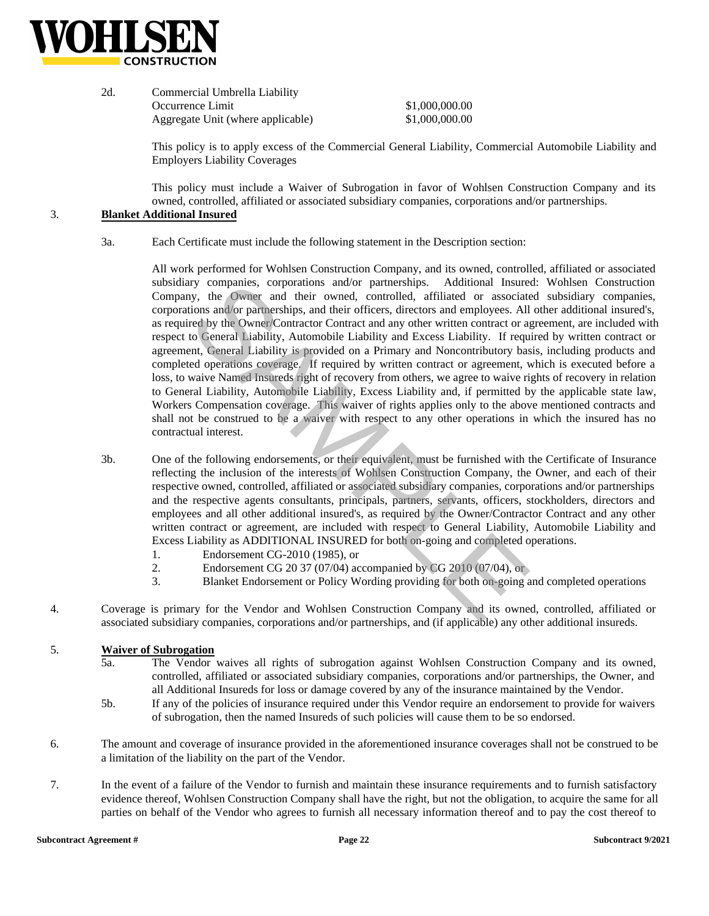

| 2d. | Commercial Umbrella Liability     |                |  |
|-----|-----------------------------------|----------------|--|
|     | Occurrence Limit                  | \$1,000,000.00 |  |
|     | Aggregate Unit (where applicable) | \$1,000,000.00 |  |

This policy is to apply excess of the Commercial General Liability, Commercial Automobile Liability and Employers Liability Coverages

This policy must include a Waiver of Subrogation in favor of Wohlsen Construction Company and its owned, controlled, affiliated or associated subsidiary companies, corporations and/or partnerships.

### 3. **Blanket Additional Insured**

3a. Each Certificate must include the following statement in the Description section:

> All work performed for Wohlsen Construction Company, and its owned, controlled, affiliated or associated subsidiary companies, corporations and/or partnerships. Additional Insured: Wohlsen Construction Company, the Owner and their owned, controlled, affiliated or associated subsidiary companies, corporations and/or partnerships, and their officers, directors and employees. All other additional insured's, as required by the Owner/Contractor Contract and any other written contract or agreement, are included with respect to General Liability, Automobile Liability and Excess Liability. If required by written contract or agreement, General Liability is provided on a Primary and Noncontributory basis, including products and completed operations coverage. If required by written contract or agreement, which is executed before a loss, to waive Named Insureds right of recovery from others, we agree to waive rights of recovery in relation to General Liability, Automobile Liability, Excess Liability and, if permitted by the applicable state law, Workers Compensation coverage. This waiver of rights applies only to the above mentioned contracts and shall not be construed to be a waiver with respect to any other operations in which the insured has no contractual interest. ity companies, corporations and/or partnerships. Additional Insure<br>by, the Owner and their owned, controlled, affiliated or associates<br>tions and/or partnerships, and their officers, directors and employees. All<br>red by the

- 3b. One of the following endorsements, or their equivalent, must be furnished with the Certificate of Insurance reflecting the inclusion of the interests of Wohlsen Construction Company, the Owner, and each of their respective owned, controlled, affiliated or associated subsidiary companies, corporations and/or partnerships and the respective agents consultants, principals, partners, servants, officers, stockholders, directors and employees and all other additional insured's, as required by the Owner/Contractor Contract and any other written contract or agreement, are included with respect to General Liability, Automobile Liability and Excess Liability as ADDITIONAL INSURED for both on-going and completed operations.
	- 1. Endorsement CG-2010 (1985), or
	- 2. Endorsement CG 20 37 (07/04) accompanied by CG 2010 (07/04), or
	- 3. Blanket Endorsement or Policy Wording providing for both on-going and completed operations
- 4. Coverage is primary for the Vendor and Wohlsen Construction Company and its owned, controlled, affiliated or associated subsidiary companies, corporations and/or partnerships, and (if applicable) any other additional insureds.

#### 5. **Waiver of Subrogation**

- 5a. The Vendor waives all rights of subrogation against Wohlsen Construction Company and its owned, controlled, affiliated or associated subsidiary companies, corporations and/or partnerships, the Owner, and all Additional Insureds for loss or damage covered by any of the insurance maintained by the Vendor.
- 5b. If any of the policies of insurance required under this Vendor require an endorsement to provide for waivers of subrogation, then the named Insureds of such policies will cause them to be so endorsed.
- 6. The amount and coverage of insurance provided in the aforementioned insurance coverages shall not be construed to be a limitation of the liability on the part of the Vendor.
- 7. In the event of a failure of the Vendor to furnish and maintain these insurance requirements and to furnish satisfactory evidence thereof, Wohlsen Construction Company shall have the right, but not the obligation, to acquire the same for all parties on behalf of the Vendor who agrees to furnish all necessary information thereof and to pay the cost thereof to